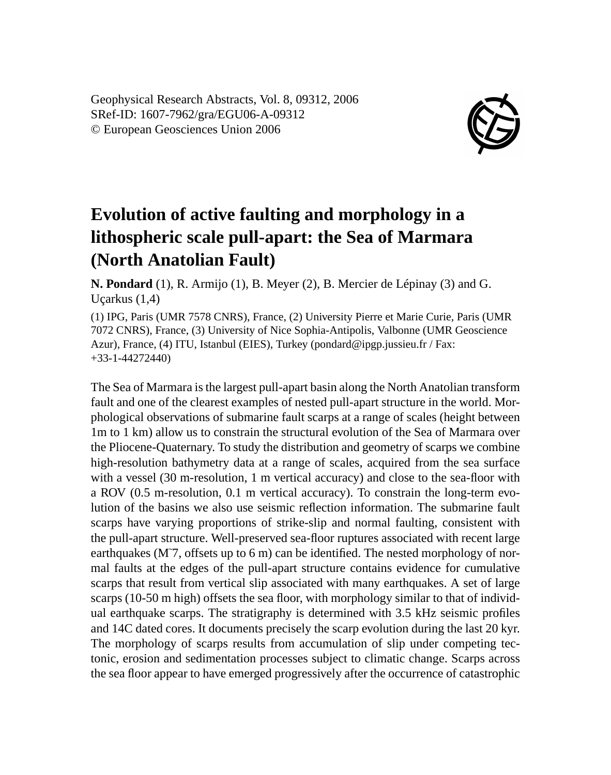Geophysical Research Abstracts, Vol. 8, 09312, 2006 SRef-ID: 1607-7962/gra/EGU06-A-09312 © European Geosciences Union 2006



## **Evolution of active faulting and morphology in a lithospheric scale pull-apart: the Sea of Marmara (North Anatolian Fault)**

**N. Pondard** (1), R. Armijo (1), B. Meyer (2), B. Mercier de Lépinay (3) and G. Uçarkus (1,4)

(1) IPG, Paris (UMR 7578 CNRS), France, (2) University Pierre et Marie Curie, Paris (UMR 7072 CNRS), France, (3) University of Nice Sophia-Antipolis, Valbonne (UMR Geoscience Azur), France, (4) ITU, Istanbul (EIES), Turkey (pondard@ipgp.jussieu.fr / Fax: +33-1-44272440)

The Sea of Marmara is the largest pull-apart basin along the North Anatolian transform fault and one of the clearest examples of nested pull-apart structure in the world. Morphological observations of submarine fault scarps at a range of scales (height between 1m to 1 km) allow us to constrain the structural evolution of the Sea of Marmara over the Pliocene-Quaternary. To study the distribution and geometry of scarps we combine high-resolution bathymetry data at a range of scales, acquired from the sea surface with a vessel (30 m-resolution, 1 m vertical accuracy) and close to the sea-floor with a ROV (0.5 m-resolution, 0.1 m vertical accuracy). To constrain the long-term evolution of the basins we also use seismic reflection information. The submarine fault scarps have varying proportions of strike-slip and normal faulting, consistent with the pull-apart structure. Well-preserved sea-floor ruptures associated with recent large earthquakes (M<sup> $\tau$ </sup>, offsets up to 6 m) can be identified. The nested morphology of normal faults at the edges of the pull-apart structure contains evidence for cumulative scarps that result from vertical slip associated with many earthquakes. A set of large scarps (10-50 m high) offsets the sea floor, with morphology similar to that of individual earthquake scarps. The stratigraphy is determined with 3.5 kHz seismic profiles and 14C dated cores. It documents precisely the scarp evolution during the last 20 kyr. The morphology of scarps results from accumulation of slip under competing tectonic, erosion and sedimentation processes subject to climatic change. Scarps across the sea floor appear to have emerged progressively after the occurrence of catastrophic